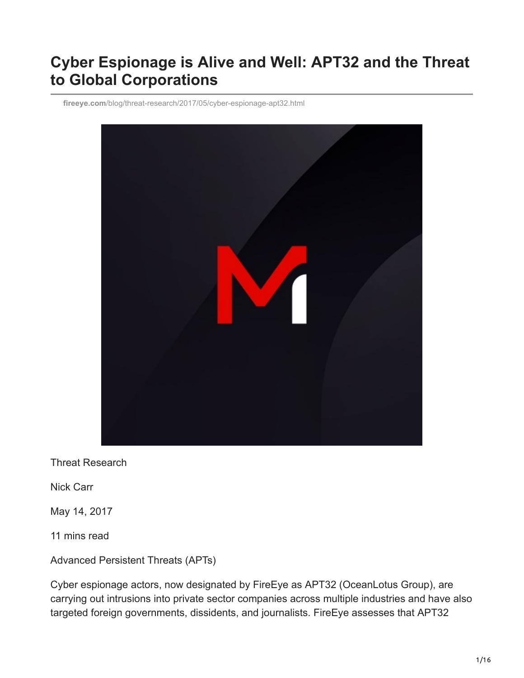# **Cyber Espionage is Alive and Well: APT32 and the Threat to Global Corporations**

**fireeye.com**[/blog/threat-research/2017/05/cyber-espionage-apt32.html](https://www.fireeye.com/blog/threat-research/2017/05/cyber-espionage-apt32.html)



Threat Research

Nick Carr

May 14, 2017

11 mins read

Advanced Persistent Threats (APTs)

Cyber espionage actors, now designated by FireEye as APT32 (OceanLotus Group), are carrying out intrusions into private sector companies across multiple industries and have also targeted foreign governments, dissidents, and journalists. FireEye assesses that APT32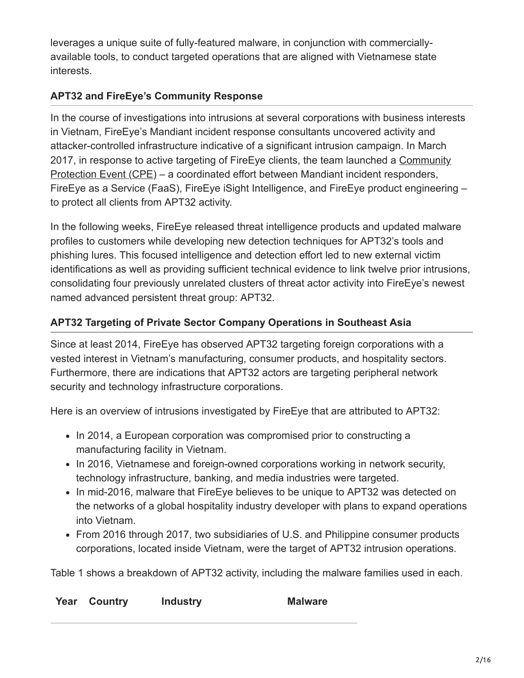leverages a unique suite of fully-featured malware, in conjunction with commerciallyavailable tools, to conduct targeted operations that are aligned with Vietnamese state interests.

### **APT32 and FireEye's Community Response**

In the course of investigations into intrusions at several corporations with business interests in Vietnam, FireEye's Mandiant incident response consultants uncovered activity and attacker-controlled infrastructure indicative of a significant intrusion campaign. In March [2017, in response to active targeting of FireEye clients, the team launched a Community](https://www2.fireeye.com/WEB-Community-Protection-Security-Numbers.html) Protection Event (CPE) – a coordinated effort between Mandiant incident responders, FireEye as a Service (FaaS), FireEye iSight Intelligence, and FireEye product engineering – to protect all clients from APT32 activity.

In the following weeks, FireEye released threat intelligence products and updated malware profiles to customers while developing new detection techniques for APT32's tools and phishing lures. This focused intelligence and detection effort led to new external victim identifications as well as providing sufficient technical evidence to link twelve prior intrusions, consolidating four previously unrelated clusters of threat actor activity into FireEye's newest named advanced persistent threat group: APT32.

## **APT32 Targeting of Private Sector Company Operations in Southeast Asia**

Since at least 2014, FireEye has observed APT32 targeting foreign corporations with a vested interest in Vietnam's manufacturing, consumer products, and hospitality sectors. Furthermore, there are indications that APT32 actors are targeting peripheral network security and technology infrastructure corporations.

Here is an overview of intrusions investigated by FireEye that are attributed to APT32:

- In 2014, a European corporation was compromised prior to constructing a manufacturing facility in Vietnam.
- In 2016, Vietnamese and foreign-owned corporations working in network security, technology infrastructure, banking, and media industries were targeted.
- In mid-2016, malware that FireEye believes to be unique to APT32 was detected on the networks of a global hospitality industry developer with plans to expand operations into Vietnam.
- From 2016 through 2017, two subsidiaries of U.S. and Philippine consumer products corporations, located inside Vietnam, were the target of APT32 intrusion operations.

Table 1 shows a breakdown of APT32 activity, including the malware families used in each.

|  | <b>Year Country</b> | <b>Industry</b> | <b>Malware</b> |
|--|---------------------|-----------------|----------------|
|--|---------------------|-----------------|----------------|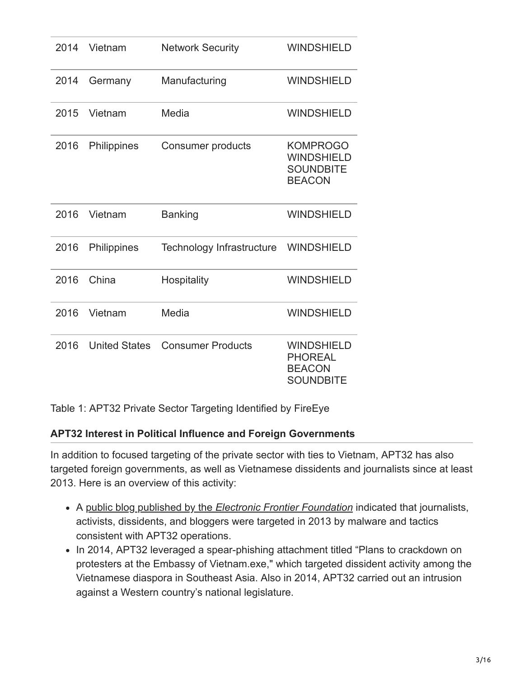| 2014 | Vietnam              | <b>Network Security</b>          | <b>WINDSHIELD</b>                                                         |
|------|----------------------|----------------------------------|---------------------------------------------------------------------------|
| 2014 | Germany              | Manufacturing                    | <b>WINDSHIELD</b>                                                         |
| 2015 | Vietnam              | Media                            | <b>WINDSHIELD</b>                                                         |
| 2016 | Philippines          | Consumer products                | <b>KOMPROGO</b><br><b>WINDSHIELD</b><br><b>SOUNDBITE</b><br><b>BEACON</b> |
| 2016 | Vietnam              | <b>Banking</b>                   | <b>WINDSHIELD</b>                                                         |
| 2016 | Philippines          | <b>Technology Infrastructure</b> | <b>WINDSHIELD</b>                                                         |
| 2016 | China                | Hospitality                      | <b>WINDSHIELD</b>                                                         |
| 2016 | Vietnam              | Media                            | <b>WINDSHIELD</b>                                                         |
| 2016 | <b>United States</b> | <b>Consumer Products</b>         | <b>WINDSHIELD</b><br><b>PHOREAL</b><br><b>BEACON</b><br><b>SOUNDBITE</b>  |

Table 1: APT32 Private Sector Targeting Identified by FireEye

#### **APT32 Interest in Political Influence and Foreign Governments**

In addition to focused targeting of the private sector with ties to Vietnam, APT32 has also targeted foreign governments, as well as Vietnamese dissidents and journalists since at least 2013. Here is an overview of this activity:

- A public blog published by the *[Electronic Frontier Foundation](https://www.eff.org/deeplinks/2014/01/vietnamese-malware-gets-personal)* indicated that journalists, activists, dissidents, and bloggers were targeted in 2013 by malware and tactics consistent with APT32 operations.
- In 2014, APT32 leveraged a spear-phishing attachment titled "Plans to crackdown on protesters at the Embassy of Vietnam.exe," which targeted dissident activity among the Vietnamese diaspora in Southeast Asia. Also in 2014, APT32 carried out an intrusion against a Western country's national legislature.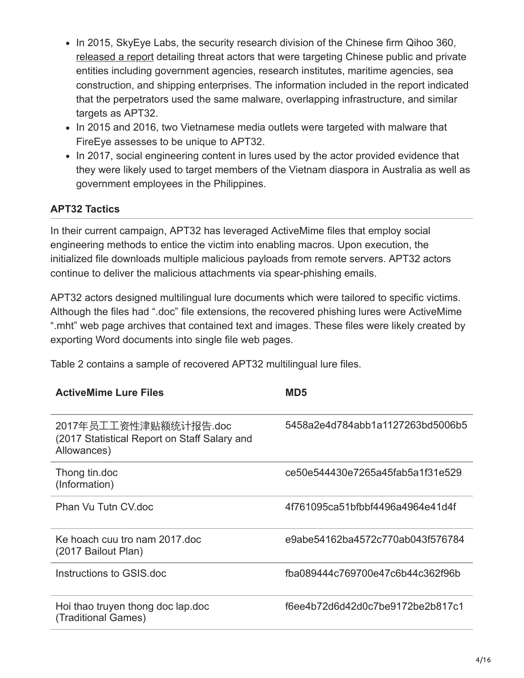- In 2015, SkyEye Labs, the security research division of the Chinese firm Qihoo 360, [released a report](http://blogs.360.cn/blog/oceanlotus-apt) detailing threat actors that were targeting Chinese public and private entities including government agencies, research institutes, maritime agencies, sea construction, and shipping enterprises. The information included in the report indicated that the perpetrators used the same malware, overlapping infrastructure, and similar targets as APT32.
- In 2015 and 2016, two Vietnamese media outlets were targeted with malware that FireEye assesses to be unique to APT32.
- In 2017, social engineering content in lures used by the actor provided evidence that they were likely used to target members of the Vietnam diaspora in Australia as well as government employees in the Philippines.

#### **APT32 Tactics**

In their current campaign, APT32 has leveraged ActiveMime files that employ social engineering methods to entice the victim into enabling macros. Upon execution, the initialized file downloads multiple malicious payloads from remote servers. APT32 actors continue to deliver the malicious attachments via spear-phishing emails.

APT32 actors designed multilingual lure documents which were tailored to specific victims. Although the files had ".doc" file extensions, the recovered phishing lures were ActiveMime ".mht" web page archives that contained text and images. These files were likely created by exporting Word documents into single file web pages.

Table 2 contains a sample of recovered APT32 multilingual lure files.

| <b>ActiveMime Lure Files</b>                                                         | MD <sub>5</sub>                  |
|--------------------------------------------------------------------------------------|----------------------------------|
| 2017年员工工资性津贴额统计报告.doc<br>(2017 Statistical Report on Staff Salary and<br>Allowances) | 5458a2e4d784abb1a1127263bd5006b5 |
| Thong tin.doc<br>(Information)                                                       | ce50e544430e7265a45fab5a1f31e529 |
| Phan Vu Tutn CV.doc                                                                  | 4f761095ca51bfbbf4496a4964e41d4f |
| Ke hoach cuu tro nam 2017 doc<br>(2017 Bailout Plan)                                 | e9abe54162ba4572c770ab043f576784 |
| Instructions to GSIS doc                                                             | fba089444c769700e47c6b44c362f96b |
| Hoi thao truyen thong doc lap.doc<br>(Traditional Games)                             | f6ee4b72d6d42d0c7be9172be2b817c1 |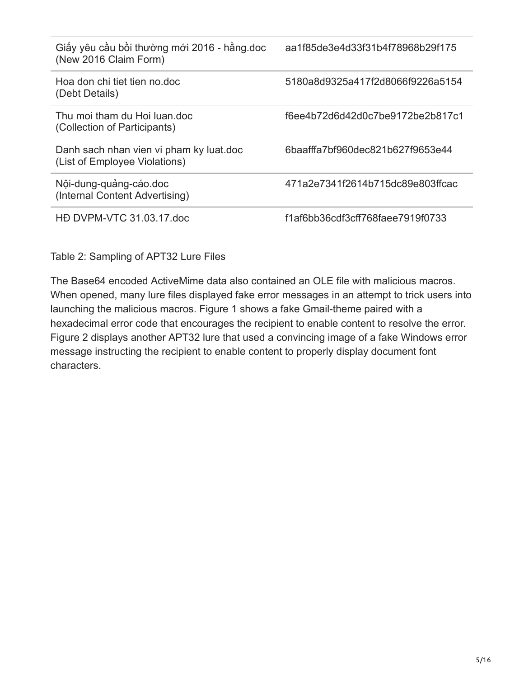| Giấy yêu cầu bồi thường mới 2016 - hằng doc<br>(New 2016 Claim Form)     | aa1f85de3e4d33f31b4f78968b29f175 |
|--------------------------------------------------------------------------|----------------------------------|
| Hoa don chi tiet tien no doc<br>(Debt Details)                           | 5180a8d9325a417f2d8066f9226a5154 |
| Thu moi tham du Hoi luan doc<br>(Collection of Participants)             | f6ee4b72d6d42d0c7be9172be2b817c1 |
| Danh sach nhan vien vi pham ky luat doc<br>(List of Employee Violations) | 6baafffa7bf960dec821b627f9653e44 |
| Nội-dung-quảng-cáo.doc<br>(Internal Content Advertising)                 | 471a2e7341f2614b715dc89e803ffcac |
| HD DVPM-VTC 31.03.17.doc                                                 | f1af6bb36cdf3cff768faee7919f0733 |

Table 2: Sampling of APT32 Lure Files

The Base64 encoded ActiveMime data also contained an OLE file with malicious macros. When opened, many lure files displayed fake error messages in an attempt to trick users into launching the malicious macros. Figure 1 shows a fake Gmail-theme paired with a hexadecimal error code that encourages the recipient to enable content to resolve the error. Figure 2 displays another APT32 lure that used a convincing image of a fake Windows error message instructing the recipient to enable content to properly display document font characters.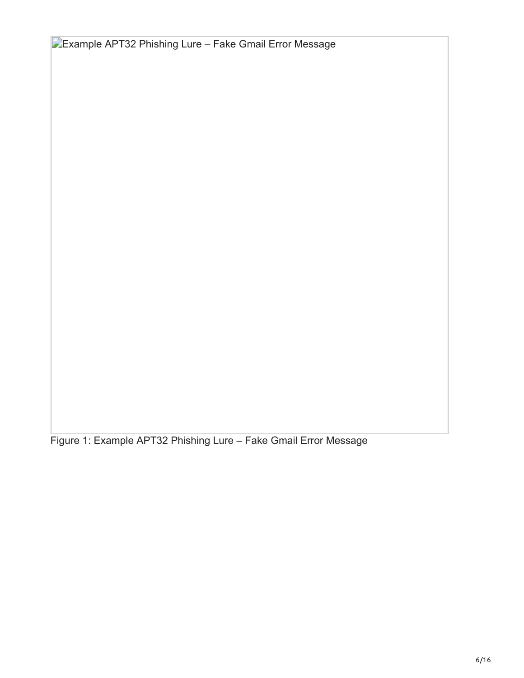**Example APT32 Phishing Lure – Fake Gmail Error Message** 

Figure 1: Example APT32 Phishing Lure – Fake Gmail Error Message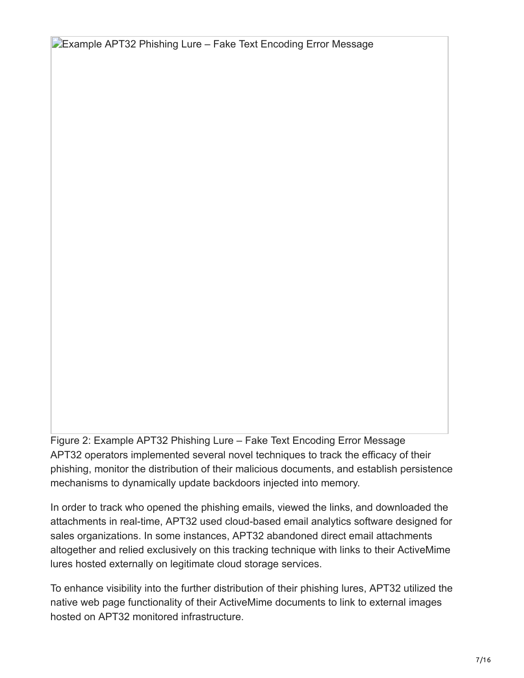**Example APT32 Phishing Lure – Fake Text Encoding Error Message** 

Figure 2: Example APT32 Phishing Lure – Fake Text Encoding Error Message APT32 operators implemented several novel techniques to track the efficacy of their phishing, monitor the distribution of their malicious documents, and establish persistence mechanisms to dynamically update backdoors injected into memory.

In order to track who opened the phishing emails, viewed the links, and downloaded the attachments in real-time, APT32 used cloud-based email analytics software designed for sales organizations. In some instances, APT32 abandoned direct email attachments altogether and relied exclusively on this tracking technique with links to their ActiveMime lures hosted externally on legitimate cloud storage services.

To enhance visibility into the further distribution of their phishing lures, APT32 utilized the native web page functionality of their ActiveMime documents to link to external images hosted on APT32 monitored infrastructure.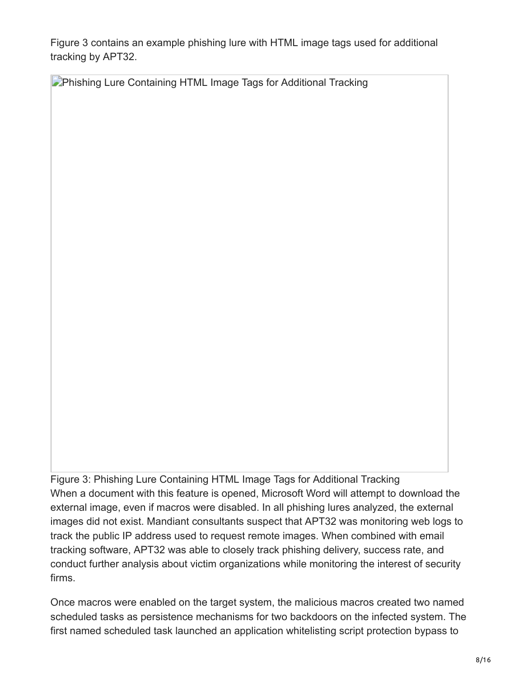Figure 3 contains an example phishing lure with HTML image tags used for additional tracking by APT32.

**Phishing Lure Containing HTML Image Tags for Additional Tracking** 

Figure 3: Phishing Lure Containing HTML Image Tags for Additional Tracking When a document with this feature is opened, Microsoft Word will attempt to download the external image, even if macros were disabled. In all phishing lures analyzed, the external images did not exist. Mandiant consultants suspect that APT32 was monitoring web logs to track the public IP address used to request remote images. When combined with email tracking software, APT32 was able to closely track phishing delivery, success rate, and conduct further analysis about victim organizations while monitoring the interest of security firms.

Once macros were enabled on the target system, the malicious macros created two named scheduled tasks as persistence mechanisms for two backdoors on the infected system. The first named scheduled task launched an application whitelisting script protection bypass to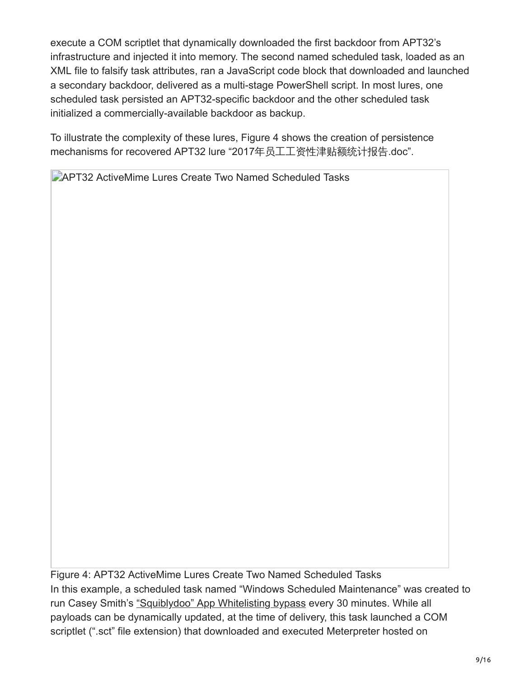execute a COM scriptlet that dynamically downloaded the first backdoor from APT32's infrastructure and injected it into memory. The second named scheduled task, loaded as an XML file to falsify task attributes, ran a JavaScript code block that downloaded and launched a secondary backdoor, delivered as a multi-stage PowerShell script. In most lures, one scheduled task persisted an APT32-specific backdoor and the other scheduled task initialized a commercially-available backdoor as backup.

To illustrate the complexity of these lures, Figure 4 shows the creation of persistence mechanisms for recovered APT32 lure "2017年员工工资性津贴额统计报告.doc".

**APT32 ActiveMime Lures Create Two Named Scheduled Tasks** 

Figure 4: APT32 ActiveMime Lures Create Two Named Scheduled Tasks In this example, a scheduled task named "Windows Scheduled Maintenance" was created to run Casey Smith's ["Squiblydoo" App Whitelisting bypass](http://subt0x10.blogspot.com/2016/04/bypass-application-whitelisting-script.html) every 30 minutes. While all payloads can be dynamically updated, at the time of delivery, this task launched a COM scriptlet (".sct" file extension) that downloaded and executed Meterpreter hosted on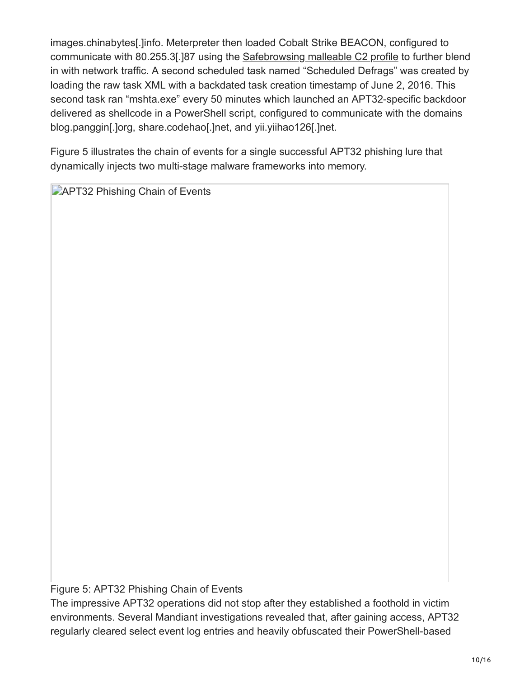images.chinabytes[.]info. Meterpreter then loaded Cobalt Strike BEACON, configured to communicate with 80.255.3[.]87 using the [Safebrowsing malleable C2 profile](https://github.com/rsmudge/Malleable-C2-Profiles/blob/master/normal/safebrowsing.profile) to further blend in with network traffic. A second scheduled task named "Scheduled Defrags" was created by loading the raw task XML with a backdated task creation timestamp of June 2, 2016. This second task ran "mshta.exe" every 50 minutes which launched an APT32-specific backdoor delivered as shellcode in a PowerShell script, configured to communicate with the domains blog.panggin[.]org, share.codehao[.]net, and yii.yiihao126[.]net.

Figure 5 illustrates the chain of events for a single successful APT32 phishing lure that dynamically injects two multi-stage malware frameworks into memory.

**APT32 Phishing Chain of Events** 

Figure 5: APT32 Phishing Chain of Events

The impressive APT32 operations did not stop after they established a foothold in victim environments. Several Mandiant investigations revealed that, after gaining access, APT32 regularly cleared select event log entries and heavily obfuscated their PowerShell-based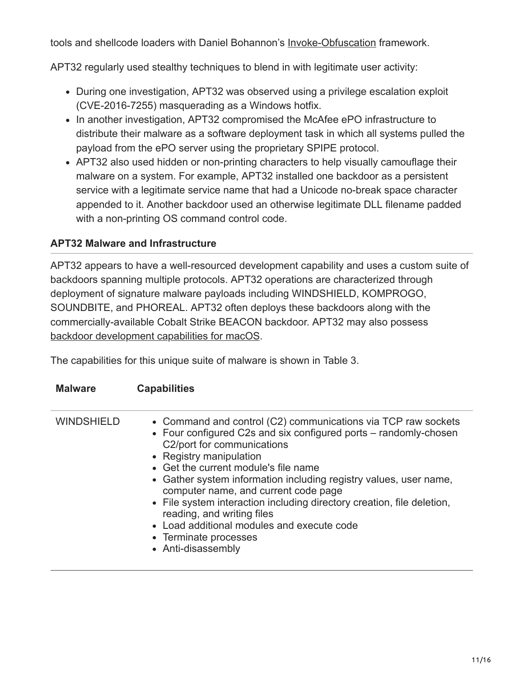tools and shellcode loaders with Daniel Bohannon's [Invoke-Obfuscation](https://github.com/danielbohannon/Invoke-Obfuscation) framework.

APT32 regularly used stealthy techniques to blend in with legitimate user activity:

- During one investigation, APT32 was observed using a privilege escalation exploit (CVE-2016-7255) masquerading as a Windows hotfix.
- In another investigation, APT32 compromised the McAfee ePO infrastructure to distribute their malware as a software deployment task in which all systems pulled the payload from the ePO server using the proprietary SPIPE protocol.
- APT32 also used hidden or non-printing characters to help visually camouflage their malware on a system. For example, APT32 installed one backdoor as a persistent service with a legitimate service name that had a Unicode no-break space character appended to it. Another backdoor used an otherwise legitimate DLL filename padded with a non-printing OS command control code.

#### **APT32 Malware and Infrastructure**

APT32 appears to have a well-resourced development capability and uses a custom suite of backdoors spanning multiple protocols. APT32 operations are characterized through deployment of signature malware payloads including WINDSHIELD, KOMPROGO, SOUNDBITE, and PHOREAL. APT32 often deploys these backdoors along with the commercially-available Cobalt Strike BEACON backdoor. APT32 may also possess [backdoor development capabilities for macOS.](https://www.alienvault.com/blogs/labs-research/oceanlotus-for-os-x-an-application-bundle-pretending-to-be-an-adobe-flash-update)

The capabilities for this unique suite of malware is shown in Table 3.

| <b>Malware</b>    | <b>Capabilities</b>                                                                                                                                                                                                                                                                                                                                                                                                                                                                                                                                  |
|-------------------|------------------------------------------------------------------------------------------------------------------------------------------------------------------------------------------------------------------------------------------------------------------------------------------------------------------------------------------------------------------------------------------------------------------------------------------------------------------------------------------------------------------------------------------------------|
| <b>WINDSHIELD</b> | • Command and control (C2) communications via TCP raw sockets<br>• Four configured C2s and six configured ports – randomly-chosen<br>C2/port for communications<br>• Registry manipulation<br>• Get the current module's file name<br>• Gather system information including registry values, user name,<br>computer name, and current code page<br>• File system interaction including directory creation, file deletion,<br>reading, and writing files<br>• Load additional modules and execute code<br>• Terminate processes<br>• Anti-disassembly |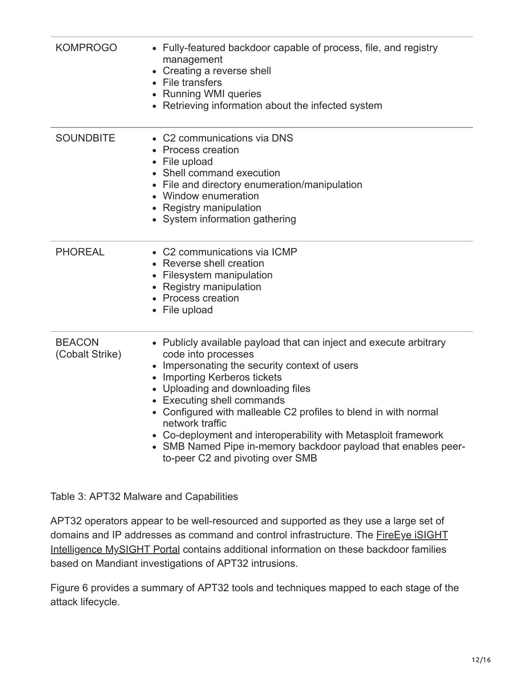| <b>KOMPROGO</b>                  | • Fully-featured backdoor capable of process, file, and registry<br>management<br>• Creating a reverse shell<br>• File transfers<br>• Running WMI queries<br>• Retrieving information about the infected system                                                                                                                                                                                                                                                                                             |
|----------------------------------|-------------------------------------------------------------------------------------------------------------------------------------------------------------------------------------------------------------------------------------------------------------------------------------------------------------------------------------------------------------------------------------------------------------------------------------------------------------------------------------------------------------|
| <b>SOUNDBITE</b>                 | • C2 communications via DNS<br>• Process creation<br>• File upload<br>• Shell command execution<br>• File and directory enumeration/manipulation<br>• Window enumeration<br>• Registry manipulation<br>• System information gathering                                                                                                                                                                                                                                                                       |
| <b>PHOREAL</b>                   | • C2 communications via ICMP<br>• Reverse shell creation<br>• Filesystem manipulation<br>• Registry manipulation<br>• Process creation<br>• File upload                                                                                                                                                                                                                                                                                                                                                     |
| <b>BEACON</b><br>(Cobalt Strike) | • Publicly available payload that can inject and execute arbitrary<br>code into processes<br>• Impersonating the security context of users<br>• Importing Kerberos tickets<br>• Uploading and downloading files<br>• Executing shell commands<br>• Configured with malleable C2 profiles to blend in with normal<br>network traffic<br>• Co-deployment and interoperability with Metasploit framework<br>• SMB Named Pipe in-memory backdoor payload that enables peer-<br>to-peer C2 and pivoting over SMB |

Table 3: APT32 Malware and Capabilities

APT32 operators appear to be well-resourced and supported as they use a large set of [domains and IP addresses as command and control infrastructure. The FireEye iSIGHT](https://www.fireeye.com/products/isight-intelligence.html) Intelligence MySIGHT Portal contains additional information on these backdoor families based on Mandiant investigations of APT32 intrusions.

Figure 6 provides a summary of APT32 tools and techniques mapped to each stage of the attack lifecycle.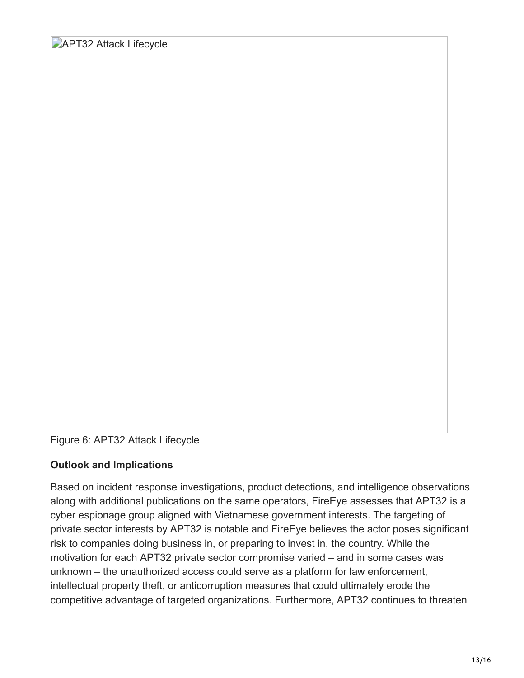**APT32 Attack Lifecycle** 

Figure 6: APT32 Attack Lifecycle

#### **Outlook and Implications**

Based on incident response investigations, product detections, and intelligence observations along with additional publications on the same operators, FireEye assesses that APT32 is a cyber espionage group aligned with Vietnamese government interests. The targeting of private sector interests by APT32 is notable and FireEye believes the actor poses significant risk to companies doing business in, or preparing to invest in, the country. While the motivation for each APT32 private sector compromise varied – and in some cases was unknown – the unauthorized access could serve as a platform for law enforcement, intellectual property theft, or anticorruption measures that could ultimately erode the competitive advantage of targeted organizations. Furthermore, APT32 continues to threaten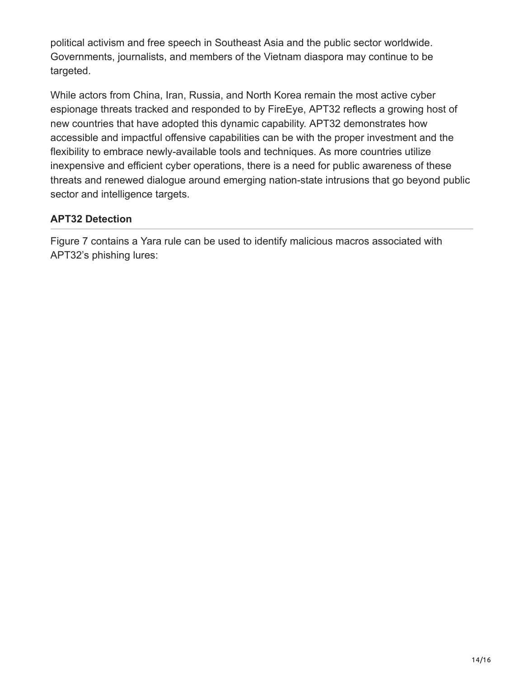political activism and free speech in Southeast Asia and the public sector worldwide. Governments, journalists, and members of the Vietnam diaspora may continue to be targeted.

While actors from China, Iran, Russia, and North Korea remain the most active cyber espionage threats tracked and responded to by FireEye, APT32 reflects a growing host of new countries that have adopted this dynamic capability. APT32 demonstrates how accessible and impactful offensive capabilities can be with the proper investment and the flexibility to embrace newly-available tools and techniques. As more countries utilize inexpensive and efficient cyber operations, there is a need for public awareness of these threats and renewed dialogue around emerging nation-state intrusions that go beyond public sector and intelligence targets.

#### **APT32 Detection**

Figure 7 contains a Yara rule can be used to identify malicious macros associated with APT32's phishing lures: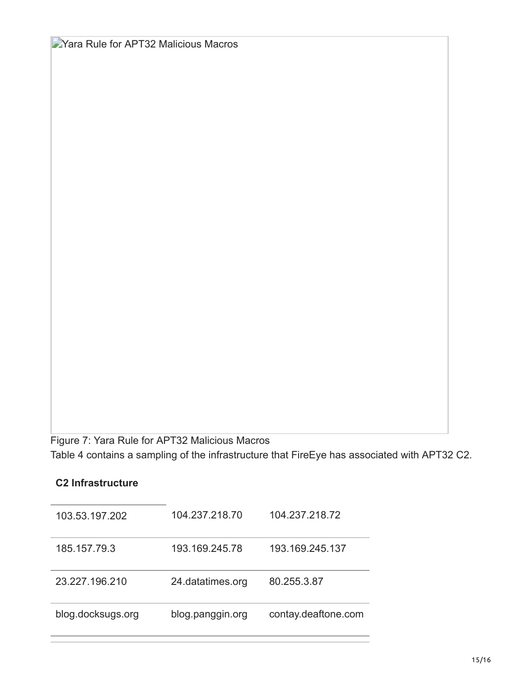**D**Yara Rule for APT32 Malicious Macros

Figure 7: Yara Rule for APT32 Malicious Macros Table 4 contains a sampling of the infrastructure that FireEye has associated with APT32 C2.

#### **C2 Infrastructure**

| 103.53.197.202    | 104.237.218.70   | 104.237.218.72      |
|-------------------|------------------|---------------------|
| 185.157.79.3      | 193.169.245.78   | 193.169.245.137     |
| 23.227.196.210    | 24.datatimes.org | 80.255.3.87         |
| blog.docksugs.org | blog.panggin.org | contay.deaftone.com |